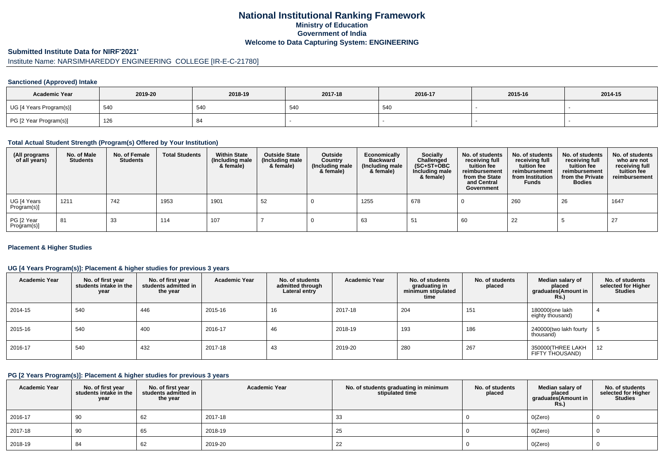# **National Institutional Ranking FrameworkMinistry of Education Government of IndiaWelcome to Data Capturing System: ENGINEERING**

#### **Submitted Institute Data for NIRF'2021'**

# Institute Name: NARSIMHAREDDY ENGINEERING COLLEGE [IR-E-C-21780]

#### **Sanctioned (Approved) Intake**

| <b>Academic Year</b>    | 2019-20 | 2018-19 | 2017-18 | 2016-17 | 2015-16 | 2014-15 |
|-------------------------|---------|---------|---------|---------|---------|---------|
| UG [4 Years Program(s)] | 540     | 54C     | 540     | 540     |         |         |
| PG [2 Year Program(s)]  | 126     |         |         |         |         |         |

#### **Total Actual Student Strength (Program(s) Offered by Your Institution)**

| (All programs<br>of all years) | No. of Male<br><b>Students</b> | No. of Female<br><b>Students</b> | <b>Total Students</b> | <b>Within State</b><br>(Including male<br>& female) | <b>Outside State</b><br>(Including male<br>& female) | Outside<br>Country<br>(Including male<br>& female) | Economically<br><b>Backward</b><br>(Including male<br>& female) | <b>Socially</b><br>Challenged<br>$(SC+ST+OBC)$<br>Including male<br>& female) | No. of students<br>receiving full<br>tuition fee<br>reimbursement<br>from the State<br>and Central<br>Government | No. of students<br>receiving full<br>tuition fee<br>reimbursement<br>from Institution<br><b>Funds</b> | No. of students<br>receiving full<br>tuition fee<br>reimbursement<br>from the Private<br><b>Bodies</b> | No. of students<br>who are not<br>receiving full<br>tuition fee<br>reimbursement |
|--------------------------------|--------------------------------|----------------------------------|-----------------------|-----------------------------------------------------|------------------------------------------------------|----------------------------------------------------|-----------------------------------------------------------------|-------------------------------------------------------------------------------|------------------------------------------------------------------------------------------------------------------|-------------------------------------------------------------------------------------------------------|--------------------------------------------------------------------------------------------------------|----------------------------------------------------------------------------------|
| UG [4 Years<br>Program(s)]     | 1211                           | 742                              | 1953                  | 1901                                                | 52                                                   |                                                    | 1255                                                            | 678                                                                           |                                                                                                                  | 260                                                                                                   | 26                                                                                                     | 1647                                                                             |
| PG [2 Year<br>Program(s)]      | 81                             | 33                               | 114                   | 107                                                 |                                                      |                                                    | 63                                                              | -51                                                                           | 60                                                                                                               | 22                                                                                                    |                                                                                                        | 27                                                                               |

#### **Placement & Higher Studies**

#### **UG [4 Years Program(s)]: Placement & higher studies for previous 3 years**

| <b>Academic Year</b> | No. of first year<br>students intake in the<br>year | No. of first year<br>students admitted in<br>the year | <b>Academic Year</b> | No. of students<br>admitted through<br>Lateral entry | <b>Academic Year</b> | No. of students<br>graduating in<br>minimum stipulated<br>time | No. of students<br>placed | Median salary of<br>placed<br>graduates(Amount in<br>Rs.) | No. of students<br>selected for Higher<br><b>Studies</b> |
|----------------------|-----------------------------------------------------|-------------------------------------------------------|----------------------|------------------------------------------------------|----------------------|----------------------------------------------------------------|---------------------------|-----------------------------------------------------------|----------------------------------------------------------|
| 2014-15              | 540                                                 | 446                                                   | 2015-16              | 16                                                   | 2017-18              | 204                                                            | 151                       | 180000(one lakh<br>eighty thousand)                       |                                                          |
| 2015-16              | 540                                                 | 400                                                   | 2016-17              | 46                                                   | 2018-19              | 193                                                            | 186                       | 240000(two lakh fourty<br>thousand)                       |                                                          |
| 2016-17              | 540                                                 | 432                                                   | 2017-18              | 43                                                   | 2019-20              | 280                                                            | 267                       | 350000(THREE LAKH<br>FIFTY THOUSAND)                      | 12                                                       |

#### **PG [2 Years Program(s)]: Placement & higher studies for previous 3 years**

| <b>Academic Year</b> | No. of first year<br>students intake in the<br>year | No. of first year<br>students admitted in<br>the year | <b>Academic Year</b> | No. of students graduating in minimum<br>stipulated time | No. of students<br>placed | Median salary of<br>placed<br>graduates(Amount in<br><b>Rs.)</b> | No. of students<br>selected for Higher<br><b>Studies</b> |
|----------------------|-----------------------------------------------------|-------------------------------------------------------|----------------------|----------------------------------------------------------|---------------------------|------------------------------------------------------------------|----------------------------------------------------------|
| 2016-17              | 90                                                  | 62                                                    | 2017-18              | 33                                                       |                           | O(Zero)                                                          |                                                          |
| 2017-18              | 90                                                  | 65                                                    | 2018-19              | 25                                                       |                           | O(Zero)                                                          |                                                          |
| 2018-19              | 84                                                  | 62                                                    | 2019-20              | 22                                                       |                           | O(Zero)                                                          |                                                          |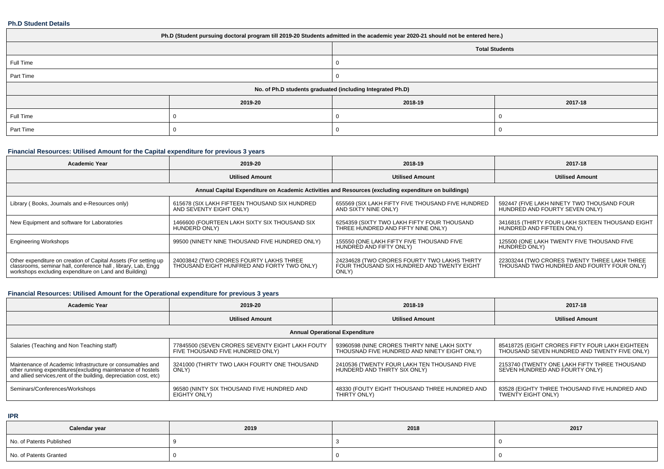#### **Ph.D Student Details**

| Ph.D (Student pursuing doctoral program till 2019-20 Students admitted in the academic year 2020-21 should not be entered here.) |                       |                                                            |         |  |  |  |  |
|----------------------------------------------------------------------------------------------------------------------------------|-----------------------|------------------------------------------------------------|---------|--|--|--|--|
|                                                                                                                                  | <b>Total Students</b> |                                                            |         |  |  |  |  |
| Full Time                                                                                                                        |                       |                                                            |         |  |  |  |  |
| Part Time                                                                                                                        |                       |                                                            |         |  |  |  |  |
|                                                                                                                                  |                       | No. of Ph.D students graduated (including Integrated Ph.D) |         |  |  |  |  |
|                                                                                                                                  | 2019-20               | 2018-19                                                    | 2017-18 |  |  |  |  |
| Full Time                                                                                                                        |                       |                                                            |         |  |  |  |  |
| Part Time                                                                                                                        |                       |                                                            |         |  |  |  |  |

## **Financial Resources: Utilised Amount for the Capital expenditure for previous 3 years**

| <b>Academic Year</b>                                                                                                                                                                      | 2019-20                                                                               | 2018-19                                                                                             | 2017-18                                                                                    |  |  |  |  |  |  |
|-------------------------------------------------------------------------------------------------------------------------------------------------------------------------------------------|---------------------------------------------------------------------------------------|-----------------------------------------------------------------------------------------------------|--------------------------------------------------------------------------------------------|--|--|--|--|--|--|
|                                                                                                                                                                                           | <b>Utilised Amount</b>                                                                | <b>Utilised Amount</b>                                                                              | <b>Utilised Amount</b>                                                                     |  |  |  |  |  |  |
| Annual Capital Expenditure on Academic Activities and Resources (excluding expenditure on buildings)                                                                                      |                                                                                       |                                                                                                     |                                                                                            |  |  |  |  |  |  |
| Library (Books, Journals and e-Resources only)                                                                                                                                            | 615678 (SIX LAKH FIFTEEN THOUSAND SIX HUNDRED<br>AND SEVENTY EIGHT ONLY)              | 655569 (SIX LAKH FIFTY FIVE THOUSAND FIVE HUNDRED<br>AND SIXTY NINE ONLY)                           | 592447 (FIVE LAKH NINETY TWO THOUSAND FOUR<br>HUNDRED AND FOURTY SEVEN ONLY)               |  |  |  |  |  |  |
| New Equipment and software for Laboratories                                                                                                                                               | 1466600 (FOURTEEN LAKH SIXTY SIX THOUSAND SIX<br>HUNDERD ONLY)                        | 6254359 (SIXTY TWO LAKH FIFTY FOUR THOUSAND<br>THREE HUNDRED AND FIFTY NINE ONLY)                   | 3416815 (THIRTY FOUR LAKH SIXTEEN THOUSAND EIGHT<br>HUNDRED AND FIFTEEN ONLY)              |  |  |  |  |  |  |
| <b>Engineering Workshops</b>                                                                                                                                                              | 99500 (NINETY NINE THOUSAND FIVE HUNDRED ONLY)                                        | 155550 (ONE LAKH FIFTY FIVE THOUSAND FIVE<br>HUNDRED AND FIFTY ONLY)                                | 125500 (ONE LAKH TWENTY FIVE THOUSAND FIVE<br>HUNDRED ONLY)                                |  |  |  |  |  |  |
| Other expenditure on creation of Capital Assets (For setting up<br>classrooms, seminar hall, conference hall, library, Lab, Engg<br>workshops excluding expenditure on Land and Building) | 24003842 (TWO CRORES FOURTY LAKHS THREE<br>THOUSAND EIGHT HUNFRED AND FORTY TWO ONLY) | 24234628 (TWO CRORES FOURTY TWO LAKHS THIRTY<br>FOUR THOUSAND SIX HUNDRED AND TWENTY EIGHT<br>ONLY) | 22303244 (TWO CRORES TWENTY THREE LAKH THREE<br>THOUSAND TWO HUNDRED AND FOURTY FOUR ONLY) |  |  |  |  |  |  |

## **Financial Resources: Utilised Amount for the Operational expenditure for previous 3 years**

| <b>Academic Year</b>                                                                                                                                                                            | 2019-20                                                                             | 2018-19                                                                                      | 2017-18                                                                                         |  |  |  |  |  |  |
|-------------------------------------------------------------------------------------------------------------------------------------------------------------------------------------------------|-------------------------------------------------------------------------------------|----------------------------------------------------------------------------------------------|-------------------------------------------------------------------------------------------------|--|--|--|--|--|--|
|                                                                                                                                                                                                 | <b>Utilised Amount</b>                                                              | <b>Utilised Amount</b>                                                                       | <b>Utilised Amount</b>                                                                          |  |  |  |  |  |  |
| <b>Annual Operational Expenditure</b>                                                                                                                                                           |                                                                                     |                                                                                              |                                                                                                 |  |  |  |  |  |  |
| Salaries (Teaching and Non Teaching staff)                                                                                                                                                      | 77845500 (SEVEN CRORES SEVENTY EIGHT LAKH FOUTY<br>FIVE THOUSAND FIVE HUNDRED ONLY) | 93960598 (NINE CRORES THIRTY NINE LAKH SIXTY<br>THOUSNAD FIVE HUNDRED AND NINETY EIGHT ONLY) | 85418725 (EIGHT CRORES FIFTY FOUR LAKH EIGHTEEN<br>THOUSAND SEVEN HUNDRED AND TWENTY FIVE ONLY) |  |  |  |  |  |  |
| Maintenance of Academic Infrastructure or consumables and<br>other running expenditures (excluding maintenance of hostels<br>and allied services, rent of the building, depreciation cost, etc) | 3241000 (THIRTY TWO LAKH FOURTY ONE THOUSAND<br>ONLY)                               | 2410536 (TWENTY FOUR LAKH TEN THOUSAND FIVE<br>HUNDERD AND THIRTY SIX ONLY)                  | 2153740 (TWENTY ONE LAKH FIFTY THREE THOUSAND<br>SEVEN HUNDRED AND FOURTY ONLY)                 |  |  |  |  |  |  |
| Seminars/Conferences/Workshops                                                                                                                                                                  | 96580 (NINTY SIX THOUSAND FIVE HUNDRED AND<br>EIGHTY ONLY)                          | 48330 (FOUTY EIGHT THOUSAND THREE HUNDRED AND<br>THIRTY ONLY)                                | 83528 (EIGHTY THREE THOUSAND FIVE HUNDRED AND<br><b>TWENTY EIGHT ONLY)</b>                      |  |  |  |  |  |  |

**IPR**

| Calendar year            | 2019 | 2018 | 2017 |
|--------------------------|------|------|------|
| No. of Patents Published |      |      |      |
| No. of Patents Granted   |      |      |      |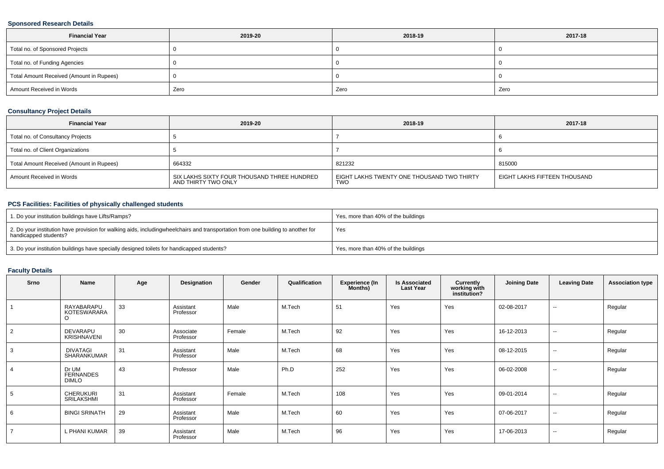#### **Sponsored Research Details**

| <b>Financial Year</b>                    | 2019-20 | 2018-19 | 2017-18 |  |
|------------------------------------------|---------|---------|---------|--|
| Total no. of Sponsored Projects          |         |         |         |  |
| Total no. of Funding Agencies            |         |         |         |  |
| Total Amount Received (Amount in Rupees) |         |         |         |  |
| Amount Received in Words                 | Zero    | Zero    | Zero    |  |

## **Consultancy Project Details**

| <b>Financial Year</b>                    | 2019-20                                                            |                                                          | 2017-18                      |
|------------------------------------------|--------------------------------------------------------------------|----------------------------------------------------------|------------------------------|
| Total no. of Consultancy Projects        |                                                                    |                                                          |                              |
| Total no. of Client Organizations        |                                                                    |                                                          |                              |
| Total Amount Received (Amount in Rupees) | 664332                                                             | 821232                                                   | 815000                       |
| Amount Received in Words                 | SIX LAKHS SIXTY FOUR THOUSAND THREE HUNDRED<br>AND THIRTY TWO ONLY | EIGHT LAKHS TWENTY ONE THOUSAND TWO THIRTY<br><b>TWO</b> | EIGHT LAKHS FIFTEEN THOUSAND |

## **PCS Facilities: Facilities of physically challenged students**

| 1. Do your institution buildings have Lifts/Ramps?                                                                                                        | Yes, more than 40% of the buildings |
|-----------------------------------------------------------------------------------------------------------------------------------------------------------|-------------------------------------|
| 2. Do your institution have provision for walking aids, includingwheelchairs and transportation from one building to another for<br>handicapped students? | Yes                                 |
| 3. Do your institution buildings have specially designed toilets for handicapped students?                                                                | Yes, more than 40% of the buildings |

## **Faculty Details**

| Srno           | Name                                        | Age | Designation            | Gender | Qualification | <b>Experience (In</b><br>Months) | <b>Is Associated</b><br><b>Last Year</b> | Currently<br>working with<br>institution? | <b>Joining Date</b> | <b>Leaving Date</b>      | <b>Association type</b> |
|----------------|---------------------------------------------|-----|------------------------|--------|---------------|----------------------------------|------------------------------------------|-------------------------------------------|---------------------|--------------------------|-------------------------|
|                | RAYABARAPU<br><b>KOTESWARARA</b><br>$\circ$ | 33  | Assistant<br>Professor | Male   | M.Tech        | 51                               | Yes                                      | Yes                                       | 02-08-2017          | $\sim$                   | Regular                 |
| $\overline{2}$ | <b>DEVARAPU</b><br>KRISHNAVENI              | 30  | Associate<br>Professor | Female | M.Tech        | 92                               | Yes                                      | Yes                                       | 16-12-2013          | $\sim$                   | Regular                 |
| 3              | <b>DIVATAGI</b><br>SHARANKUMAR              | 31  | Assistant<br>Professor | Male   | M.Tech        | 68                               | Yes                                      | Yes                                       | 08-12-2015          | $\sim$                   | Regular                 |
|                | Dr UM<br><b>FERNANDES</b><br>DIMLO          | 43  | Professor              | Male   | Ph.D          | 252                              | Yes                                      | Yes                                       | 06-02-2008          | $\sim$                   | Regular                 |
| 5              | <b>CHERUKURI</b><br>SRILAKSHMI              | 31  | Assistant<br>Professor | Female | M.Tech        | 108                              | Yes                                      | Yes                                       | 09-01-2014          | $\sim$                   | Regular                 |
| 6              | <b>BINGI SRINATH</b>                        | 29  | Assistant<br>Professor | Male   | M.Tech        | 60                               | Yes                                      | Yes                                       | 07-06-2017          | $\overline{\phantom{a}}$ | Regular                 |
|                | . PHANI KUMAR                               | 39  | Assistant<br>Professor | Male   | M.Tech        | 96                               | Yes                                      | Yes                                       | 17-06-2013          | $\sim$                   | Regular                 |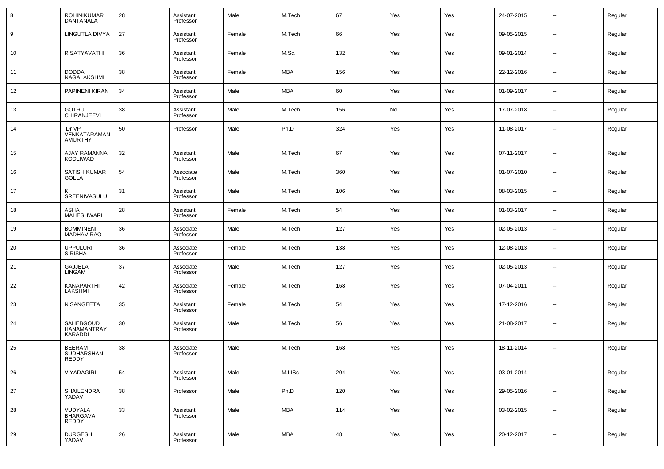| 8  | <b>ROHINIKUMAR</b><br><b>DANTANALA</b>  | 28 | Assistant<br>Professor | Male   | M.Tech     | 67  | Yes | Yes | 24-07-2015 | $\overline{\phantom{a}}$ | Regular |
|----|-----------------------------------------|----|------------------------|--------|------------|-----|-----|-----|------------|--------------------------|---------|
| 9  | LINGUTLA DIVYA                          | 27 | Assistant<br>Professor | Female | M.Tech     | 66  | Yes | Yes | 09-05-2015 | $\sim$                   | Regular |
| 10 | R SATYAVATHI                            | 36 | Assistant<br>Professor | Female | M.Sc.      | 132 | Yes | Yes | 09-01-2014 | $\overline{\phantom{a}}$ | Regular |
| 11 | <b>DODDA</b><br>NAGALAKSHMI             | 38 | Assistant<br>Professor | Female | MBA        | 156 | Yes | Yes | 22-12-2016 | $\overline{\phantom{a}}$ | Regular |
| 12 | PAPINENI KIRAN                          | 34 | Assistant<br>Professor | Male   | MBA        | 60  | Yes | Yes | 01-09-2017 | $\sim$                   | Regular |
| 13 | GOTRU<br>CHIRANJEEVI                    | 38 | Assistant<br>Professor | Male   | M.Tech     | 156 | No  | Yes | 17-07-2018 | $\overline{\phantom{a}}$ | Regular |
| 14 | Dr VP<br>VENKATARAMAN<br><b>AMURTHY</b> | 50 | Professor              | Male   | Ph.D       | 324 | Yes | Yes | 11-08-2017 | $\sim$                   | Regular |
| 15 | <b>AJAY RAMANNA</b><br><b>KODLIWAD</b>  | 32 | Assistant<br>Professor | Male   | M.Tech     | 67  | Yes | Yes | 07-11-2017 | $\overline{\phantom{a}}$ | Regular |
| 16 | <b>SATISH KUMAR</b><br><b>GOLLA</b>     | 54 | Associate<br>Professor | Male   | M.Tech     | 360 | Yes | Yes | 01-07-2010 | $\sim$                   | Regular |
| 17 | Κ<br>SREENIVASULU                       | 31 | Assistant<br>Professor | Male   | M.Tech     | 106 | Yes | Yes | 08-03-2015 | $\overline{\phantom{a}}$ | Regular |
| 18 | ASHA<br><b>MAHESHWARI</b>               | 28 | Assistant<br>Professor | Female | M.Tech     | 54  | Yes | Yes | 01-03-2017 | $\sim$                   | Regular |
| 19 | <b>BOMMINENI</b><br><b>MADHAV RAO</b>   | 36 | Associate<br>Professor | Male   | M.Tech     | 127 | Yes | Yes | 02-05-2013 | $\overline{\phantom{a}}$ | Regular |
| 20 | <b>UPPULURI</b><br><b>SIRISHA</b>       | 36 | Associate<br>Professor | Female | M.Tech     | 138 | Yes | Yes | 12-08-2013 | $\overline{\phantom{a}}$ | Regular |
| 21 | <b>GAJJELA</b><br><b>LINGAM</b>         | 37 | Associate<br>Professor | Male   | M.Tech     | 127 | Yes | Yes | 02-05-2013 | $\overline{\phantom{a}}$ | Regular |
| 22 | KANAPARTHI<br>LAKSHMI                   | 42 | Associate<br>Professor | Female | M.Tech     | 168 | Yes | Yes | 07-04-2011 | $\overline{\phantom{a}}$ | Regular |
| 23 | N SANGEETA                              | 35 | Assistant<br>Professor | Female | M.Tech     | 54  | Yes | Yes | 17-12-2016 | $\overline{\phantom{a}}$ | Regular |
| 24 | SAHEBGOUD<br>HANAMANTRAY<br>KARADDI     | 30 | Assistant<br>Professor | Male   | M.Tech     | 56  | Yes | Yes | 21-08-2017 | $\sim$                   | Regular |
| 25 | <b>BEERAM</b><br>SUDHARSHAN<br>REDDY    | 38 | Associate<br>Professor | Male   | M.Tech     | 168 | Yes | Yes | 18-11-2014 | --                       | Regular |
| 26 | V YADAGIRI                              | 54 | Assistant<br>Professor | Male   | M.LISc     | 204 | Yes | Yes | 03-01-2014 | --                       | Regular |
| 27 | SHAILENDRA<br>YADAV                     | 38 | Professor              | Male   | Ph.D       | 120 | Yes | Yes | 29-05-2016 | $\overline{\phantom{a}}$ | Regular |
| 28 | VUDYALA<br>BHARGAVA<br>REDDY            | 33 | Assistant<br>Professor | Male   | <b>MBA</b> | 114 | Yes | Yes | 03-02-2015 | $\sim$                   | Regular |
| 29 | <b>DURGESH</b><br>YADAV                 | 26 | Assistant<br>Professor | Male   | <b>MBA</b> | 48  | Yes | Yes | 20-12-2017 | $\sim$                   | Regular |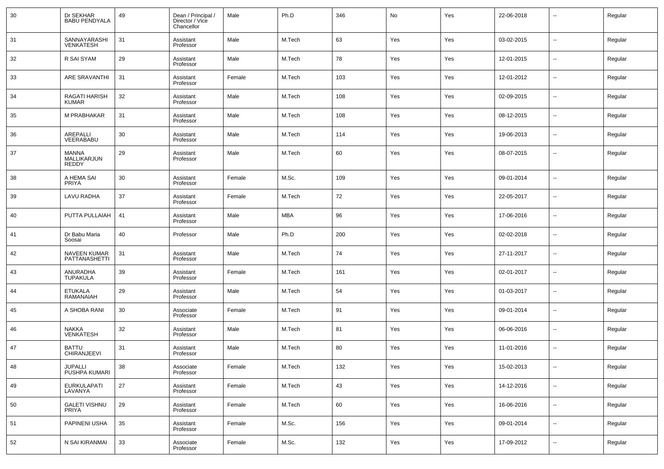| 30 | Dr SEKHAR<br><b>BABU PENDYALA</b>           | 49     | Dean / Principal /<br>Director / Vice<br>Chancellor | Male   | Ph.D       | 346 | No  | Yes | 22-06-2018 | --                       | Regular |
|----|---------------------------------------------|--------|-----------------------------------------------------|--------|------------|-----|-----|-----|------------|--------------------------|---------|
| 31 | SANNAYARASHI<br>VENKATESH                   | 31     | Assistant<br>Professor                              | Male   | M.Tech     | 63  | Yes | Yes | 03-02-2015 | ш,                       | Regular |
| 32 | R SAI SYAM                                  | 29     | Assistant<br>Professor                              | Male   | M.Tech     | 78  | Yes | Yes | 12-01-2015 | ш,                       | Regular |
| 33 | <b>ARE SRAVANTHI</b>                        | 31     | Assistant<br>Professor                              | Female | M.Tech     | 103 | Yes | Yes | 12-01-2012 | ш,                       | Regular |
| 34 | RAGATI HARISH<br><b>KUMAR</b>               | 32     | Assistant<br>Professor                              | Male   | M.Tech     | 108 | Yes | Yes | 02-09-2015 | $\overline{\phantom{a}}$ | Regular |
| 35 | M PRABHAKAR                                 | 31     | Assistant<br>Professor                              | Male   | M.Tech     | 108 | Yes | Yes | 08-12-2015 | ш,                       | Regular |
| 36 | AREPALLI<br>VEERABABU                       | 30     | Assistant<br>Professor                              | Male   | M.Tech     | 114 | Yes | Yes | 19-06-2013 | $\overline{\phantom{a}}$ | Regular |
| 37 | <b>MANNA</b><br>MALLIKARJUN<br><b>REDDY</b> | 29     | Assistant<br>Professor                              | Male   | M.Tech     | 60  | Yes | Yes | 08-07-2015 | --                       | Regular |
| 38 | A HEMA SAI<br><b>PRIYA</b>                  | 30     | Assistant<br>Professor                              | Female | M.Sc.      | 109 | Yes | Yes | 09-01-2014 | --                       | Regular |
| 39 | LAVU RADHA                                  | 37     | Assistant<br>Professor                              | Female | M.Tech     | 72  | Yes | Yes | 22-05-2017 | --                       | Regular |
| 40 | PUTTA PULLAIAH                              | 41     | Assistant<br>Professor                              | Male   | <b>MBA</b> | 96  | Yes | Yes | 17-06-2016 | --                       | Regular |
| 41 | Dr Babu Maria<br>Soosai                     | 40     | Professor                                           | Male   | Ph.D       | 200 | Yes | Yes | 02-02-2018 | --                       | Regular |
| 42 | NAVEEN KUMAR<br>PATTANASHETTI               | 31     | Assistant<br>Professor                              | Male   | M.Tech     | 74  | Yes | Yes | 27-11-2017 | --                       | Regular |
| 43 | ANURADHA<br>TUPAKULA                        | 39     | Assistant<br>Professor                              | Female | M.Tech     | 161 | Yes | Yes | 02-01-2017 | --                       | Regular |
| 44 | <b>ETUKALA</b><br>RAMANAIAH                 | 29     | Assistant<br>Professor                              | Male   | M.Tech     | 54  | Yes | Yes | 01-03-2017 | --                       | Regular |
| 45 | A SHOBA RANI                                | 30     | Associate<br>Professor                              | Female | M.Tech     | 91  | Yes | Yes | 09-01-2014 | --                       | Regular |
| 46 | <b>NAKKA</b><br><b>VENKATESH</b>            | 32     | Assistant<br>Professor                              | Male   | M.Tech     | 81  | Yes | Yes | 06-06-2016 | --                       | Regular |
| 47 | <b>BATTU</b><br>CHIRANJEEVI                 | 31     | Assistant<br>Professor                              | Male   | M.Tech     | 80  | Yes | Yes | 11-01-2016 | --                       | Regular |
| 48 | JUPALLI<br>PUSHPA KUMARI                    | 38     | Associate<br>Professor                              | Female | M.Tech     | 132 | Yes | Yes | 15-02-2013 | $\overline{\phantom{a}}$ | Regular |
| 49 | EURKULAPATI<br>LAVANYA                      | $27\,$ | Assistant<br>Professor                              | Female | M.Tech     | 43  | Yes | Yes | 14-12-2016 | ٠.                       | Regular |
| 50 | <b>GALETI VISHNU</b><br>PRIYA               | 29     | Assistant<br>Professor                              | Female | M.Tech     | 60  | Yes | Yes | 16-06-2016 | ٠.                       | Regular |
| 51 | PAPINENI USHA                               | 35     | Assistant<br>Professor                              | Female | M.Sc.      | 156 | Yes | Yes | 09-01-2014 | ٠.                       | Regular |
| 52 | N SAI KIRANMAI                              | 33     | Associate<br>Professor                              | Female | M.Sc.      | 132 | Yes | Yes | 17-09-2012 | $\overline{\phantom{a}}$ | Regular |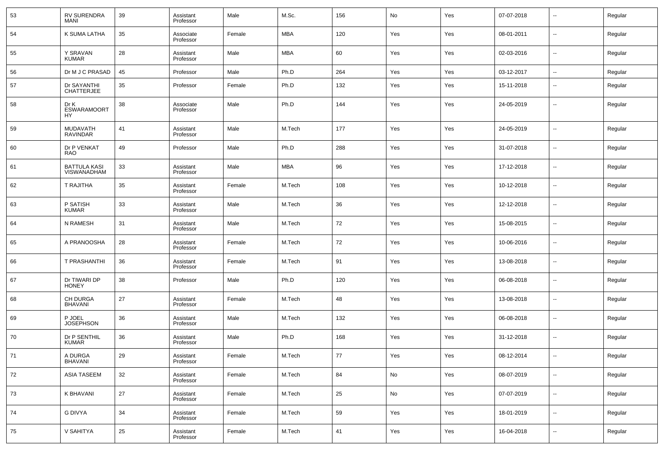| 53 | RV SURENDRA<br><b>MANI</b>                | 39 | Assistant<br>Professor | Male   | M.Sc.  | 156 | No  | Yes | 07-07-2018 | $\sim$                   | Regular |
|----|-------------------------------------------|----|------------------------|--------|--------|-----|-----|-----|------------|--------------------------|---------|
| 54 | K SUMA LATHA                              | 35 | Associate<br>Professor | Female | MBA    | 120 | Yes | Yes | 08-01-2011 | $\sim$                   | Regular |
| 55 | Y SRAVAN<br><b>KUMAR</b>                  | 28 | Assistant<br>Professor | Male   | MBA    | 60  | Yes | Yes | 02-03-2016 | $\sim$                   | Regular |
| 56 | Dr M J C PRASAD                           | 45 | Professor              | Male   | Ph.D   | 264 | Yes | Yes | 03-12-2017 | $\sim$                   | Regular |
| 57 | Dr SAYANTHI<br><b>CHATTERJEE</b>          | 35 | Professor              | Female | Ph.D   | 132 | Yes | Yes | 15-11-2018 | --                       | Regular |
| 58 | Dr K<br><b>ESWARAMOORT</b><br>HY          | 38 | Associate<br>Professor | Male   | Ph.D   | 144 | Yes | Yes | 24-05-2019 | --                       | Regular |
| 59 | MUDAVATH<br><b>RAVINDAR</b>               | 41 | Assistant<br>Professor | Male   | M.Tech | 177 | Yes | Yes | 24-05-2019 | --                       | Regular |
| 60 | Dr P VENKAT<br><b>RAO</b>                 | 49 | Professor              | Male   | Ph.D   | 288 | Yes | Yes | 31-07-2018 | $\sim$                   | Regular |
| 61 | <b>BATTULA KASI</b><br><b>VISWANADHAM</b> | 33 | Assistant<br>Professor | Male   | MBA    | 96  | Yes | Yes | 17-12-2018 | $\sim$                   | Regular |
| 62 | T RAJITHA                                 | 35 | Assistant<br>Professor | Female | M.Tech | 108 | Yes | Yes | 10-12-2018 | $\sim$                   | Regular |
| 63 | P SATISH<br><b>KUMAR</b>                  | 33 | Assistant<br>Professor | Male   | M.Tech | 36  | Yes | Yes | 12-12-2018 | --                       | Regular |
| 64 | N RAMESH                                  | 31 | Assistant<br>Professor | Male   | M.Tech | 72  | Yes | Yes | 15-08-2015 | $\sim$                   | Regular |
| 65 | A PRANOOSHA                               | 28 | Assistant<br>Professor | Female | M.Tech | 72  | Yes | Yes | 10-06-2016 | --                       | Regular |
| 66 | T PRASHANTHI                              | 36 | Assistant<br>Professor | Female | M.Tech | 91  | Yes | Yes | 13-08-2018 | --                       | Regular |
| 67 | Dr TIWARI DP<br><b>HONEY</b>              | 38 | Professor              | Male   | Ph.D   | 120 | Yes | Yes | 06-08-2018 | --                       | Regular |
| 68 | <b>CH DURGA</b><br><b>BHAVANI</b>         | 27 | Assistant<br>Professor | Female | M.Tech | 48  | Yes | Yes | 13-08-2018 | --                       | Regular |
| 69 | P JOEL<br><b>JOSEPHSON</b>                | 36 | Assistant<br>Professor | Male   | M.Tech | 132 | Yes | Yes | 06-08-2018 | --                       | Regular |
| 70 | Dr P SENTHIL<br><b>KUMAR</b>              | 36 | Assistant<br>Professor | Male   | Ph.D   | 168 | Yes | Yes | 31-12-2018 | --                       | Regular |
| 71 | A DURGA<br><b>BHAVANI</b>                 | 29 | Assistant<br>Professor | Female | M.Tech | 77  | Yes | Yes | 08-12-2014 | --                       | Regular |
| 72 | ASIA TASEEM                               | 32 | Assistant<br>Professor | Female | M.Tech | 84  | No  | Yes | 08-07-2019 | $\sim$                   | Regular |
| 73 | K BHAVANI                                 | 27 | Assistant<br>Professor | Female | M.Tech | 25  | No  | Yes | 07-07-2019 | $\overline{\phantom{a}}$ | Regular |
| 74 | <b>G DIVYA</b>                            | 34 | Assistant<br>Professor | Female | M.Tech | 59  | Yes | Yes | 18-01-2019 | $\overline{\phantom{a}}$ | Regular |
| 75 | V SAHITYA                                 | 25 | Assistant<br>Professor | Female | M.Tech | 41  | Yes | Yes | 16-04-2018 | $\sim$                   | Regular |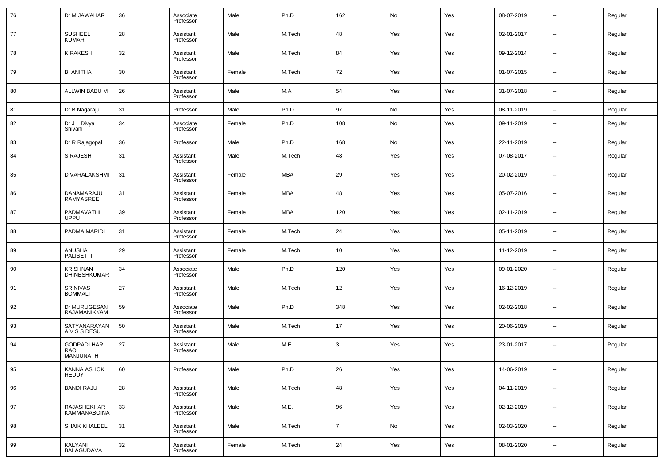| 76 | Dr M JAWAHAR                                   | 36 | Associate<br>Professor | Male   | Ph.D   | 162            | No  | Yes | 08-07-2019 | --                       | Regular |
|----|------------------------------------------------|----|------------------------|--------|--------|----------------|-----|-----|------------|--------------------------|---------|
| 77 | <b>SUSHEEL</b><br><b>KUMAR</b>                 | 28 | Assistant<br>Professor | Male   | M.Tech | 48             | Yes | Yes | 02-01-2017 | $\overline{\phantom{a}}$ | Regular |
| 78 | K RAKESH                                       | 32 | Assistant<br>Professor | Male   | M.Tech | 84             | Yes | Yes | 09-12-2014 | $\overline{\phantom{a}}$ | Regular |
| 79 | <b>B ANITHA</b>                                | 30 | Assistant<br>Professor | Female | M.Tech | 72             | Yes | Yes | 01-07-2015 | --                       | Regular |
| 80 | ALLWIN BABU M                                  | 26 | Assistant<br>Professor | Male   | M.A    | 54             | Yes | Yes | 31-07-2018 | $\overline{\phantom{a}}$ | Regular |
| 81 | Dr B Nagaraju                                  | 31 | Professor              | Male   | Ph.D   | 97             | No  | Yes | 08-11-2019 | --                       | Regular |
| 82 | Dr J L Divya<br>Shivani                        | 34 | Associate<br>Professor | Female | Ph.D   | 108            | No  | Yes | 09-11-2019 | $\overline{\phantom{a}}$ | Regular |
| 83 | Dr R Rajagopal                                 | 36 | Professor              | Male   | Ph.D   | 168            | No  | Yes | 22-11-2019 | $\overline{\phantom{a}}$ | Regular |
| 84 | <b>S RAJESH</b>                                | 31 | Assistant<br>Professor | Male   | M.Tech | 48             | Yes | Yes | 07-08-2017 | $\overline{\phantom{a}}$ | Regular |
| 85 | D VARALAKSHMI                                  | 31 | Assistant<br>Professor | Female | MBA    | 29             | Yes | Yes | 20-02-2019 | $\overline{\phantom{a}}$ | Regular |
| 86 | DANAMARAJU<br>RAMYASREE                        | 31 | Assistant<br>Professor | Female | MBA    | 48             | Yes | Yes | 05-07-2016 | $\overline{\phantom{a}}$ | Regular |
| 87 | PADMAVATHI<br><b>UPPU</b>                      | 39 | Assistant<br>Professor | Female | MBA    | 120            | Yes | Yes | 02-11-2019 | $\overline{\phantom{a}}$ | Regular |
| 88 | PADMA MARIDI                                   | 31 | Assistant<br>Professor | Female | M.Tech | 24             | Yes | Yes | 05-11-2019 | $\overline{\phantom{a}}$ | Regular |
| 89 | ANUSHA<br>PALISETTI                            | 29 | Assistant<br>Professor | Female | M.Tech | 10             | Yes | Yes | 11-12-2019 | $\overline{\phantom{a}}$ | Regular |
| 90 | <b>KRISHNAN</b><br><b>DHINESHKUMAR</b>         | 34 | Associate<br>Professor | Male   | Ph.D   | 120            | Yes | Yes | 09-01-2020 | $\overline{\phantom{a}}$ | Regular |
| 91 | SRINIVAS<br><b>BOMMALI</b>                     | 27 | Assistant<br>Professor | Male   | M.Tech | 12             | Yes | Yes | 16-12-2019 | $\overline{\phantom{a}}$ | Regular |
| 92 | Dr MURUGESAN<br>RAJAMANIKKAM                   | 59 | Associate<br>Professor | Male   | Ph.D   | 348            | Yes | Yes | 02-02-2018 | $\overline{\phantom{a}}$ | Regular |
| 93 | SATYANARAYAN<br>A V S S DESU                   | 50 | Assistant<br>Professor | Male   | M.Tech | 17             | Yes | Yes | 20-06-2019 | $\overline{\phantom{a}}$ | Regular |
| 94 | <b>GODPADI HARI</b><br><b>RAO</b><br>MANJUNATH | 27 | Assistant<br>Professor | Male   | M.E.   | 3              | Yes | Yes | 23-01-2017 | $\overline{\phantom{a}}$ | Regular |
| 95 | <b>KANNA ASHOK</b><br><b>REDDY</b>             | 60 | Professor              | Male   | Ph.D   | 26             | Yes | Yes | 14-06-2019 | $\overline{\phantom{a}}$ | Regular |
| 96 | <b>BANDI RAJU</b>                              | 28 | Assistant<br>Professor | Male   | M.Tech | 48             | Yes | Yes | 04-11-2019 | $\overline{\phantom{a}}$ | Regular |
| 97 | RAJASHEKHAR<br><b>KAMMANABOINA</b>             | 33 | Assistant<br>Professor | Male   | M.E.   | 96             | Yes | Yes | 02-12-2019 | $\overline{\phantom{a}}$ | Regular |
| 98 | SHAIK KHALEEL                                  | 31 | Assistant<br>Professor | Male   | M.Tech | $\overline{7}$ | No  | Yes | 02-03-2020 | $\overline{\phantom{a}}$ | Regular |
| 99 | KALYANI<br><b>BALAGUDAVA</b>                   | 32 | Assistant<br>Professor | Female | M.Tech | 24             | Yes | Yes | 08-01-2020 | $\overline{\phantom{a}}$ | Regular |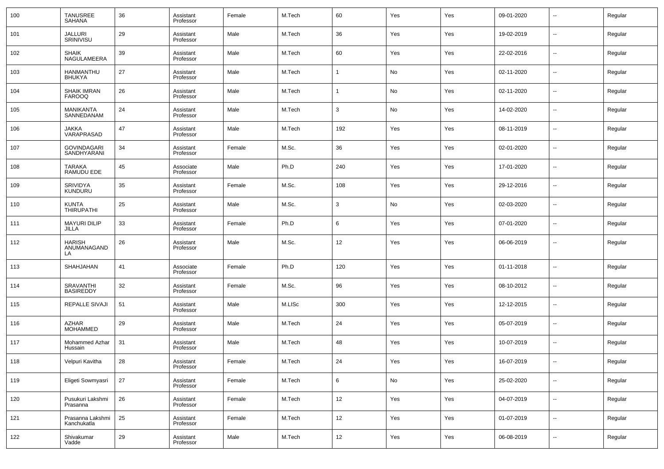| 100 | <b>TANUSREE</b><br><b>SAHANA</b>     | 36     | Assistant<br>Professor | Female | M.Tech | 60                | Yes           | Yes | 09-01-2020 | --                       | Regular |
|-----|--------------------------------------|--------|------------------------|--------|--------|-------------------|---------------|-----|------------|--------------------------|---------|
| 101 | <b>JALLURI</b><br>SRINIVISU          | 29     | Assistant<br>Professor | Male   | M.Tech | 36                | Yes           | Yes | 19-02-2019 | --                       | Regular |
| 102 | <b>SHAIK</b><br>NAGULAMEERA          | 39     | Assistant<br>Professor | Male   | M.Tech | 60                | Yes           | Yes | 22-02-2016 | н.                       | Regular |
| 103 | HANMANTHU<br><b>BHUKYA</b>           | 27     | Assistant<br>Professor | Male   | M.Tech | $\mathbf{1}$      | No            | Yes | 02-11-2020 | --                       | Regular |
| 104 | <b>SHAIK IMRAN</b><br><b>FAROOQ</b>  | 26     | Assistant<br>Professor | Male   | M.Tech | $\mathbf{1}$      | No            | Yes | 02-11-2020 | н.                       | Regular |
| 105 | MANIKANTA<br>SANNEDANAM              | 24     | Assistant<br>Professor | Male   | M.Tech | 3                 | No            | Yes | 14-02-2020 | н.                       | Regular |
| 106 | JAKKA<br>VARAPRASAD                  | 47     | Assistant<br>Professor | Male   | M.Tech | 192               | Yes           | Yes | 08-11-2019 | --                       | Regular |
| 107 | <b>GOVINDAGARI</b><br>SANDHYARANI    | 34     | Assistant<br>Professor | Female | M.Sc.  | 36                | Yes           | Yes | 02-01-2020 | --                       | Regular |
| 108 | <b>TARAKA</b><br>RAMUDU EDE          | 45     | Associate<br>Professor | Male   | Ph.D   | 240               | Yes           | Yes | 17-01-2020 | --                       | Regular |
| 109 | SRIVIDYA<br>KUNDURU                  | 35     | Assistant<br>Professor | Female | M.Sc.  | 108               | Yes           | Yes | 29-12-2016 | --                       | Regular |
| 110 | <b>KUNTA</b><br><b>THIRUPATHI</b>    | 25     | Assistant<br>Professor | Male   | M.Sc.  | 3                 | No            | Yes | 02-03-2020 | --                       | Regular |
| 111 | <b>MAYURI DILIP</b><br>JILLA         | 33     | Assistant<br>Professor | Female | Ph.D   | 6                 | Yes           | Yes | 07-01-2020 | --                       | Regular |
| 112 | <b>HARISH</b><br>ANUMANAGAND<br>LA   | 26     | Assistant<br>Professor | Male   | M.Sc.  | 12                | Yes           | Yes | 06-06-2019 | --                       | Regular |
| 113 | SHAHJAHAN                            | 41     | Associate<br>Professor | Female | Ph.D   | 120               | Yes           | Yes | 01-11-2018 | ÷.                       | Regular |
| 114 | <b>SRAVANTHI</b><br><b>BASIREDDY</b> | 32     | Assistant<br>Professor | Female | M.Sc.  | 96                | Yes           | Yes | 08-10-2012 | ÷.                       | Regular |
| 115 | REPALLE SIVAJI                       | 51     | Assistant<br>Professor | Male   | M.LISc | 300               | Yes           | Yes | 12-12-2015 | ÷.                       | Regular |
| 116 | AZHAR<br><b>MOHAMMED</b>             | 29     | Assistant<br>Professor | Male   | M.Tech | 24                | Yes           | Yes | 05-07-2019 | ÷.                       | Regular |
| 117 | Mohammed Azhar<br>Hussain            | 31     | Assistant<br>Professor | Male   | M.Tech | 48                | Yes           | Yes | 10-07-2019 | Ξ.                       | Regular |
| 118 | Velpuri Kavitha                      | 28     | Assistant<br>Professor | Female | M.Tech | 24                | Yes           | Yes | 16-07-2019 |                          | Regular |
| 119 | Eligeti Sowmyasri                    | $27\,$ | Assistant<br>Professor | Female | M.Tech | $6\overline{6}$   | $\mathsf{No}$ | Yes | 25-02-2020 | $\overline{\phantom{a}}$ | Regular |
| 120 | Pusukuri Lakshmi<br>Prasanna         | 26     | Assistant<br>Professor | Female | M.Tech | 12                | Yes           | Yes | 04-07-2019 | $\sim$                   | Regular |
| 121 | Prasanna Lakshmi<br>Kanchukatla      | 25     | Assistant<br>Professor | Female | M.Tech | 12                | Yes           | Yes | 01-07-2019 | $\overline{\phantom{a}}$ | Regular |
| 122 | Shivakumar<br>Vadde                  | 29     | Assistant<br>Professor | Male   | M.Tech | $12 \overline{ }$ | Yes           | Yes | 06-08-2019 | н.                       | Regular |